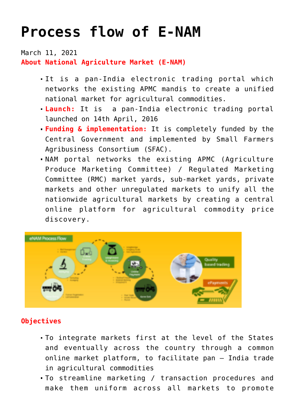## **[Process flow of E-NAM](https://journalsofindia.com/process-flow-of-e-nam/)**

March 11, 2021 **About National Agriculture Market (E-NAM)**

- It is a pan-India electronic trading portal which networks the existing APMC mandis to create a unified national market for agricultural commodities.
- **Launch:** It is a pan-India electronic trading portal launched on 14th April, 2016
- **Funding & implementation:** It is completely funded by the Central Government and implemented by Small Farmers Agribusiness Consortium (SFAC).
- NAM portal networks the existing APMC (Agriculture Produce Marketing Committee) / Regulated Marketing Committee (RMC) market yards, sub-market yards, private markets and other unregulated markets to unify all the nationwide agricultural markets by creating a central online platform for agricultural commodity price discovery.



## **Objectives**

- To integrate markets first at the level of the States and eventually across the country through a common online market platform, to facilitate pan – India trade in agricultural commodities
- To streamline marketing / transaction procedures and make them uniform across all markets to promote